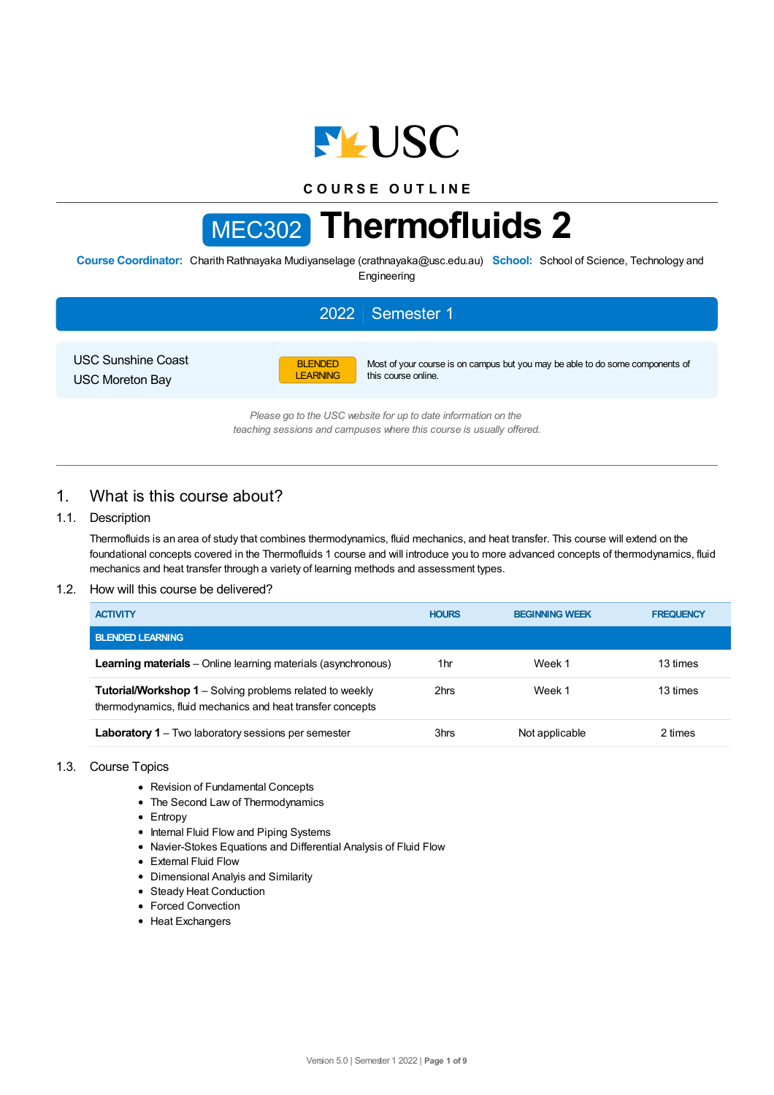

# **C O U R S E O U T L I N E**

# MEC302 **Thermofluids 2**

**Course Coordinator:** Charith Rathnayaka Mudiyanselage (crathnayaka@usc.edu.au) **School:** School of Science, Technology and Engineering

|                                                     |                                   | 2022 Semester 1                                                                                                                        |
|-----------------------------------------------------|-----------------------------------|----------------------------------------------------------------------------------------------------------------------------------------|
| <b>USC Sunshine Coast</b><br><b>USC Moreton Bay</b> | <b>BLENDED</b><br><b>LEARNING</b> | Most of your course is on campus but you may be able to do some components of<br>this course online.                                   |
|                                                     |                                   | Please go to the USC website for up to date information on the<br>teaching sessions and campuses where this course is usually offered. |

# 1. What is this course about?

## 1.1. Description

Thermofluids is an area of study that combines thermodynamics, fluid mechanics, and heat transfer. This course will extend on the foundational concepts covered in the Thermofluids 1 course and will introduce you to more advanced concepts of thermodynamics, fluid mechanics and heat transfer through a variety of learning methods and assessment types.

## 1.2. How will this course be delivered?

| <b>ACTIVITY</b>                                                                                                               | <b>HOURS</b> | <b>BEGINNING WEEK</b> | <b>FREQUENCY</b> |
|-------------------------------------------------------------------------------------------------------------------------------|--------------|-----------------------|------------------|
| <b>BLENDED LEARNING.</b>                                                                                                      |              |                       |                  |
| <b>Learning materials</b> – Online learning materials (asynchronous)                                                          | 1hr          | Week 1                | 13 times         |
| <b>Tutorial/Workshop 1</b> – Solving problems related to weekly<br>thermodynamics, fluid mechanics and heat transfer concepts | 2hrs         | Week 1                | 13 times         |
| <b>Laboratory 1</b> – Two laboratory sessions per semester                                                                    | 3hrs         | Not applicable        | 2 times          |

#### 1.3. Course Topics

- Revision of Fundamental Concepts
- The Second Law of Thermodynamics
- Entropy
- Internal Fluid Flow and Piping Systems
- Navier-Stokes Equations and Differential Analysis of Fluid Flow
- External Fluid Flow
- Dimensional Analyis and Similarity
- Steady Heat Conduction
- Forced Convection
- Heat Exchangers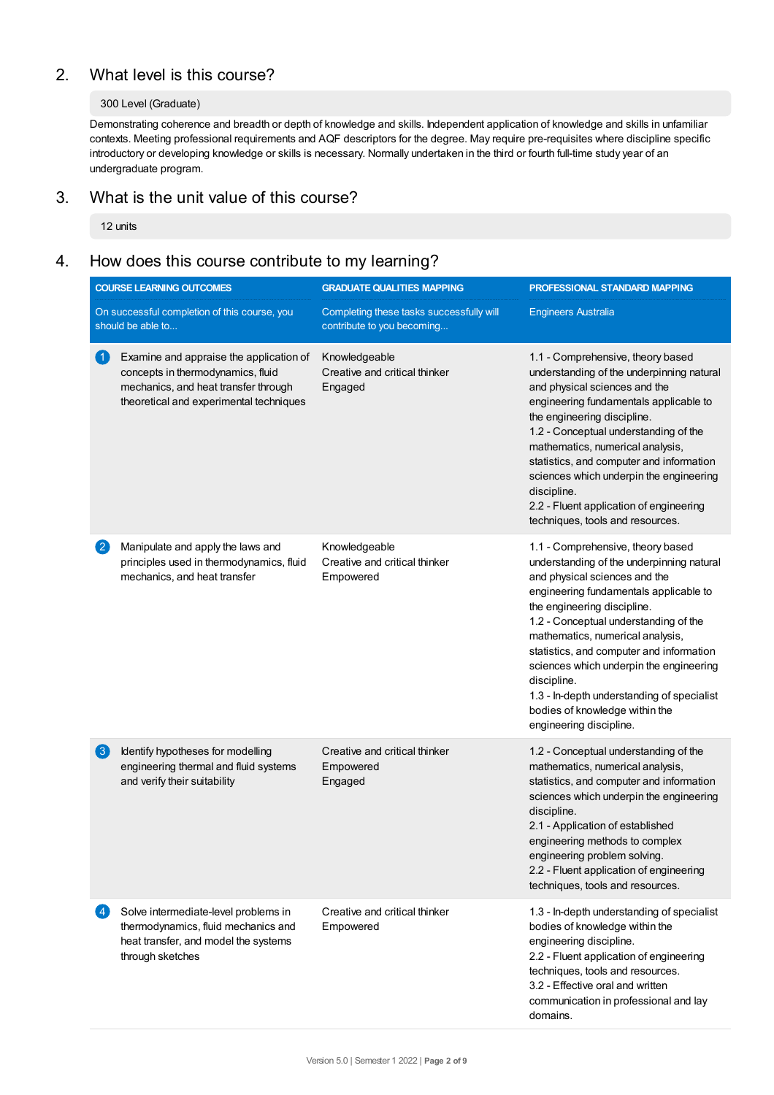# 2. What level is this course?

## 300 Level (Graduate)

Demonstrating coherence and breadth or depth of knowledge and skills. Independent application of knowledge and skills in unfamiliar contexts. Meeting professional requirements and AQF descriptors for the degree. May require pre-requisites where discipline specific introductory or developing knowledge or skills is necessary. Normally undertaken in the third or fourth full-time study year of an undergraduate program.

# 3. What is the unit value of this course?

12 units

# 4. How does this course contribute to my learning?

|                        | <b>COURSE LEARNING OUTCOMES</b>                                                                                                                                 | <b>GRADUATE QUALITIES MAPPING</b>                                      | PROFESSIONAL STANDARD MAPPING                                                                                                                                                                                                                                                                                                                                                                                                                                                          |  |
|------------------------|-----------------------------------------------------------------------------------------------------------------------------------------------------------------|------------------------------------------------------------------------|----------------------------------------------------------------------------------------------------------------------------------------------------------------------------------------------------------------------------------------------------------------------------------------------------------------------------------------------------------------------------------------------------------------------------------------------------------------------------------------|--|
|                        | On successful completion of this course, you<br>should be able to                                                                                               | Completing these tasks successfully will<br>contribute to you becoming | <b>Engineers Australia</b>                                                                                                                                                                                                                                                                                                                                                                                                                                                             |  |
| $\left( 1\right)$      | Examine and appraise the application of<br>concepts in thermodynamics, fluid<br>mechanics, and heat transfer through<br>theoretical and experimental techniques | Knowledgeable<br>Creative and critical thinker<br>Engaged              | 1.1 - Comprehensive, theory based<br>understanding of the underpinning natural<br>and physical sciences and the<br>engineering fundamentals applicable to<br>the engineering discipline.<br>1.2 - Conceptual understanding of the<br>mathematics, numerical analysis,<br>statistics, and computer and information<br>sciences which underpin the engineering<br>discipline.<br>2.2 - Fluent application of engineering<br>techniques, tools and resources.                             |  |
| $\mathbf{2}$           | Manipulate and apply the laws and<br>principles used in thermodynamics, fluid<br>mechanics, and heat transfer                                                   | Knowledgeable<br>Creative and critical thinker<br>Empowered            | 1.1 - Comprehensive, theory based<br>understanding of the underpinning natural<br>and physical sciences and the<br>engineering fundamentals applicable to<br>the engineering discipline.<br>1.2 - Conceptual understanding of the<br>mathematics, numerical analysis,<br>statistics, and computer and information<br>sciences which underpin the engineering<br>discipline.<br>1.3 - In-depth understanding of specialist<br>bodies of knowledge within the<br>engineering discipline. |  |
| $\left( 3\right)$      | Identify hypotheses for modelling<br>engineering thermal and fluid systems<br>and verify their suitability                                                      | Creative and critical thinker<br>Empowered<br>Engaged                  | 1.2 - Conceptual understanding of the<br>mathematics, numerical analysis,<br>statistics, and computer and information<br>sciences which underpin the engineering<br>discipline.<br>2.1 - Application of established<br>engineering methods to complex<br>engineering problem solving.<br>2.2 - Fluent application of engineering<br>techniques, tools and resources.                                                                                                                   |  |
| $\left 4\right\rangle$ | Solve intermediate-level problems in<br>thermodynamics, fluid mechanics and<br>heat transfer, and model the systems<br>through sketches                         | Creative and critical thinker<br>Empowered                             | 1.3 - In-depth understanding of specialist<br>bodies of knowledge within the<br>engineering discipline.<br>2.2 - Fluent application of engineering<br>techniques, tools and resources.<br>3.2 - Effective oral and written<br>communication in professional and lay<br>domains.                                                                                                                                                                                                        |  |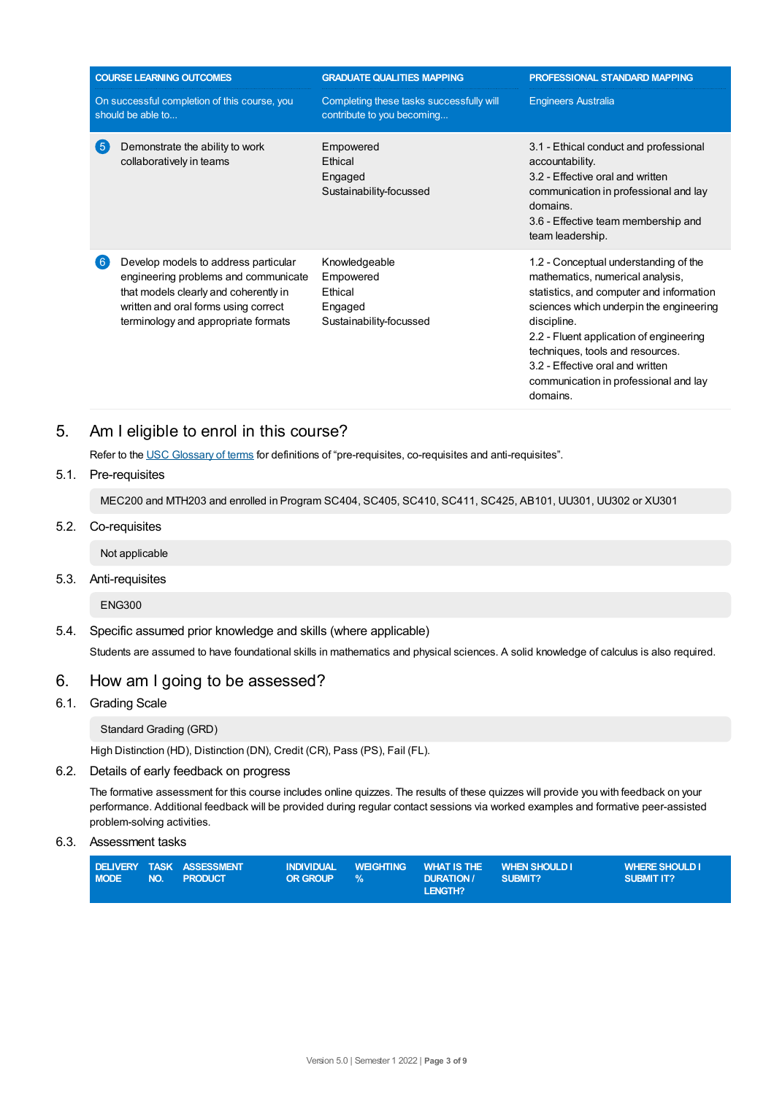|        | <b>COURSE LEARNING OUTCOMES</b>                                                                                                                                                                      | <b>GRADUATE QUALITIES MAPPING</b>                                           | PROFESSIONAL STANDARD MAPPING                                                                                                                                                                                                                                                                                                                           |
|--------|------------------------------------------------------------------------------------------------------------------------------------------------------------------------------------------------------|-----------------------------------------------------------------------------|---------------------------------------------------------------------------------------------------------------------------------------------------------------------------------------------------------------------------------------------------------------------------------------------------------------------------------------------------------|
|        | On successful completion of this course, you<br>should be able to                                                                                                                                    | Completing these tasks successfully will<br>contribute to you becoming      | <b>Engineers Australia</b>                                                                                                                                                                                                                                                                                                                              |
| -5     | Demonstrate the ability to work<br>collaboratively in teams                                                                                                                                          | Empowered<br><b>Ethical</b><br>Engaged<br>Sustainability-focussed           | 3.1 - Ethical conduct and professional<br>accountability.<br>3.2 - Effective oral and written<br>communication in professional and lay<br>domains.<br>3.6 - Effective team membership and<br>team leadership.                                                                                                                                           |
| $6 \,$ | Develop models to address particular<br>engineering problems and communicate<br>that models clearly and coherently in<br>written and oral forms using correct<br>terminology and appropriate formats | Knowledgeable<br>Empowered<br>Ethical<br>Engaged<br>Sustainability-focussed | 1.2 - Conceptual understanding of the<br>mathematics, numerical analysis,<br>statistics, and computer and information<br>sciences which underpin the engineering<br>discipline.<br>2.2 - Fluent application of engineering<br>techniques, tools and resources.<br>3.2 - Effective oral and written<br>communication in professional and lay<br>domains. |

# 5. Am Ieligible to enrol in this course?

Refer to the USC [Glossary](https://www.usc.edu.au/about/policies-and-procedures/glossary-of-terms-for-policy-and-procedures) of terms for definitions of "pre-requisites, co-requisites and anti-requisites".

## 5.1. Pre-requisites

MEC200 and MTH203 and enrolled in Program SC404, SC405, SC410, SC411, SC425, AB101, UU301, UU302 or XU301

## 5.2. Co-requisites

Not applicable

## 5.3. Anti-requisites

ENG300

5.4. Specific assumed prior knowledge and skills (where applicable) Students are assumed to have foundational skills in mathematics and physical sciences. A solid knowledge of calculus is also required.

# 6. How am Igoing to be assessed?

## 6.1. Grading Scale

Standard Grading (GRD)

High Distinction (HD), Distinction (DN), Credit (CR), Pass (PS), Fail (FL).

## 6.2. Details of early feedback on progress

The formative assessment for this course includes online quizzes. The results of these quizzes will provide you with feedback on your performance. Additional feedback will be provided during regular contact sessions via worked examples and formative peer-assisted problem-solving activities.

6.3. Assessment tasks

| <b>MODE</b> | DELIVERY TASK ASSESSMENT<br>NO. PRODUCT | <b>OR GROUP</b> | $\frac{10}{2}$ | INDIVIDUAL WEIGHTING WHAT IS THE WHEN SHOULD I.<br><b>DURATION</b> | SUBMIT? | <b>WHERE SHOULD I</b><br><b>SUBMIT IT?</b> |
|-------------|-----------------------------------------|-----------------|----------------|--------------------------------------------------------------------|---------|--------------------------------------------|
|             |                                         |                 |                | LENGTH?                                                            |         |                                            |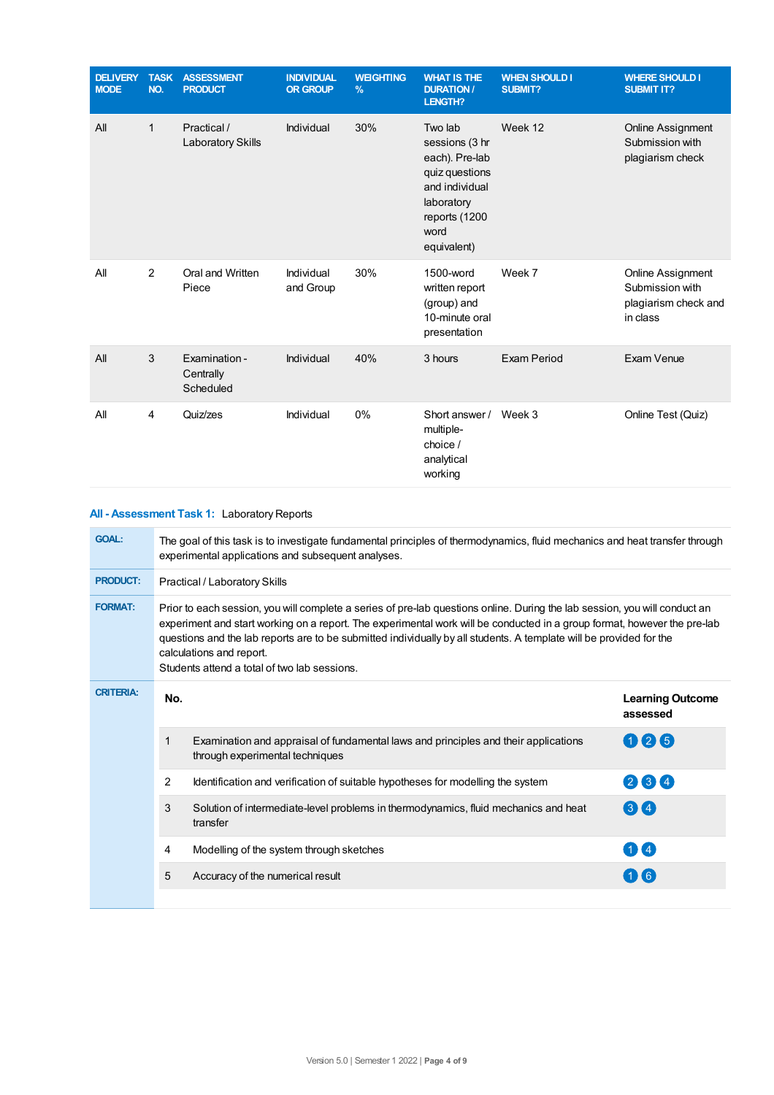| <b>DELIVERY</b><br><b>MODE</b> | <b>TASK</b><br>NO. | <b>ASSESSMENT</b><br><b>PRODUCT</b>     | <b>INDIVIDUAL</b><br><b>OR GROUP</b> | <b>WEIGHTING</b><br>$\frac{9}{6}$ | <b>WHAT IS THE</b><br><b>DURATION /</b><br><b>LENGTH?</b>                                                                             | <b>WHEN SHOULD I</b><br>SUBMIT? | <b>WHERE SHOULD I</b><br><b>SUBMIT IT?</b>                                      |
|--------------------------------|--------------------|-----------------------------------------|--------------------------------------|-----------------------------------|---------------------------------------------------------------------------------------------------------------------------------------|---------------------------------|---------------------------------------------------------------------------------|
| All                            | 1                  | Practical /<br>Laboratory Skills        | Individual                           | 30%                               | Two lab<br>sessions (3 hr<br>each). Pre-lab<br>quiz questions<br>and individual<br>laboratory<br>reports (1200<br>word<br>equivalent) | Week 12                         | <b>Online Assignment</b><br>Submission with<br>plagiarism check                 |
| All                            | 2                  | Oral and Written<br>Piece               | Individual<br>and Group              | 30%                               | 1500-word<br>written report<br>(group) and<br>10-minute oral<br>presentation                                                          | Week 7                          | <b>Online Assignment</b><br>Submission with<br>plagiarism check and<br>in class |
| All                            | 3                  | Examination -<br>Centrally<br>Scheduled | Individual                           | 40%                               | 3 hours                                                                                                                               | Exam Period                     | Exam Venue                                                                      |
| All                            | 4                  | Quiz/zes                                | Individual                           | 0%                                | Short answer /<br>multiple-<br>choice /<br>analytical<br>working                                                                      | Week 3                          | Online Test (Quiz)                                                              |

| All - Assessment Task 1: Laboratory Reports |
|---------------------------------------------|
|                                             |

| <b>GOAL:</b>     | The goal of this task is to investigate fundamental principles of thermodynamics, fluid mechanics and heat transfer through<br>experimental applications and subsequent analyses.                                                                                                                                                                                                                                                                         |                                                                                                                        |                                     |  |  |  |
|------------------|-----------------------------------------------------------------------------------------------------------------------------------------------------------------------------------------------------------------------------------------------------------------------------------------------------------------------------------------------------------------------------------------------------------------------------------------------------------|------------------------------------------------------------------------------------------------------------------------|-------------------------------------|--|--|--|
| <b>PRODUCT:</b>  | Practical / Laboratory Skills                                                                                                                                                                                                                                                                                                                                                                                                                             |                                                                                                                        |                                     |  |  |  |
| <b>FORMAT:</b>   | Prior to each session, you will complete a series of pre-lab questions online. During the lab session, you will conduct an<br>experiment and start working on a report. The experimental work will be conducted in a group format, however the pre-lab<br>questions and the lab reports are to be submitted individually by all students. A template will be provided for the<br>calculations and report.<br>Students attend a total of two lab sessions. |                                                                                                                        |                                     |  |  |  |
| <b>CRITERIA:</b> | No.                                                                                                                                                                                                                                                                                                                                                                                                                                                       |                                                                                                                        | <b>Learning Outcome</b><br>assessed |  |  |  |
|                  | 1                                                                                                                                                                                                                                                                                                                                                                                                                                                         | Examination and appraisal of fundamental laws and principles and their applications<br>through experimental techniques | 126                                 |  |  |  |
|                  | $\overline{2}$                                                                                                                                                                                                                                                                                                                                                                                                                                            | Identification and verification of suitable hypotheses for modelling the system                                        | 234                                 |  |  |  |
|                  | 3                                                                                                                                                                                                                                                                                                                                                                                                                                                         | Solution of intermediate-level problems in thermodynamics, fluid mechanics and heat<br>transfer                        | $3$ $\blacksquare$ 4                |  |  |  |
|                  | 4                                                                                                                                                                                                                                                                                                                                                                                                                                                         | Modelling of the system through sketches                                                                               | $1$ $\mathbf{I}$ 4                  |  |  |  |
|                  | 5                                                                                                                                                                                                                                                                                                                                                                                                                                                         | Accuracy of the numerical result                                                                                       | $(1)$ (6)                           |  |  |  |
|                  |                                                                                                                                                                                                                                                                                                                                                                                                                                                           |                                                                                                                        |                                     |  |  |  |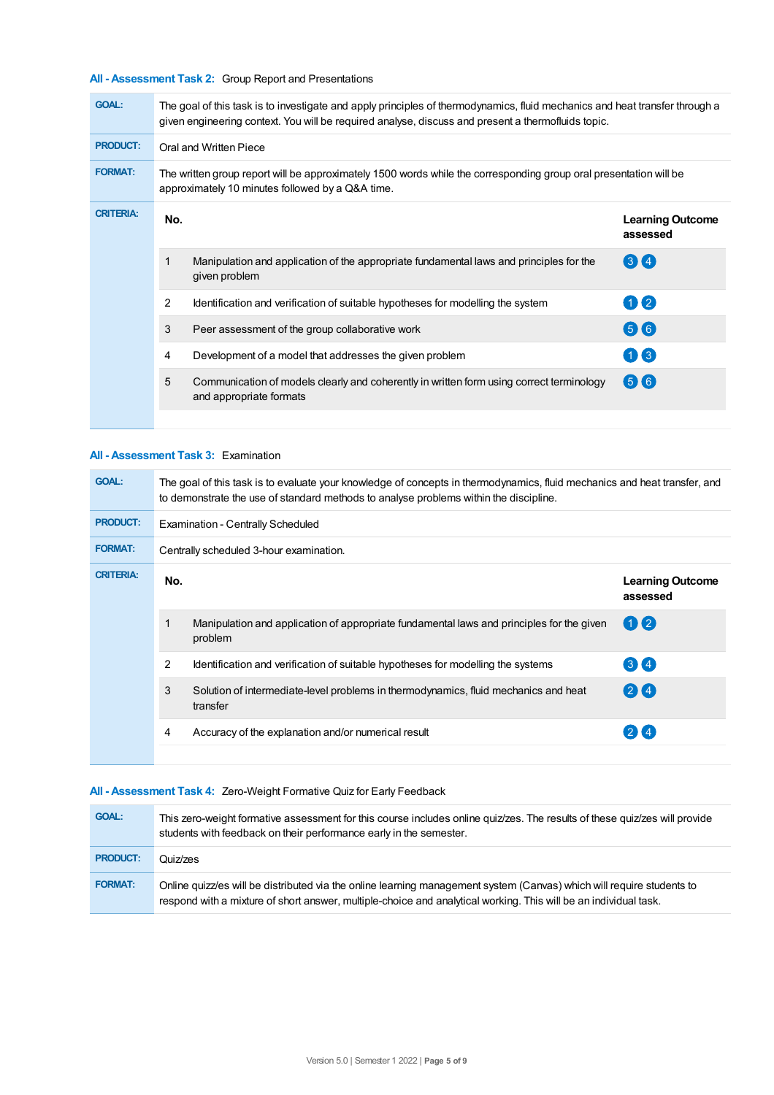## **All - Assessment Task 2:** Group Report and Presentations

| <b>GOAL:</b>     | The goal of this task is to investigate and apply principles of thermodynamics, fluid mechanics and heat transfer through a<br>given engineering context. You will be required analyse, discuss and present a thermofluids topic. |                                                                                                                     |                                     |  |  |  |
|------------------|-----------------------------------------------------------------------------------------------------------------------------------------------------------------------------------------------------------------------------------|---------------------------------------------------------------------------------------------------------------------|-------------------------------------|--|--|--|
| <b>PRODUCT:</b>  |                                                                                                                                                                                                                                   | Oral and Written Piece                                                                                              |                                     |  |  |  |
| <b>FORMAT:</b>   | The written group report will be approximately 1500 words while the corresponding group oral presentation will be<br>approximately 10 minutes followed by a Q&A time.                                                             |                                                                                                                     |                                     |  |  |  |
| <b>CRITERIA:</b> | No.                                                                                                                                                                                                                               |                                                                                                                     | <b>Learning Outcome</b><br>assessed |  |  |  |
|                  | 1                                                                                                                                                                                                                                 | Manipulation and application of the appropriate fundamental laws and principles for the<br>given problem            | $(3)$ $(4)$                         |  |  |  |
|                  | 2                                                                                                                                                                                                                                 | Identification and verification of suitable hypotheses for modelling the system                                     | $1)$ (2)                            |  |  |  |
|                  | 3                                                                                                                                                                                                                                 | Peer assessment of the group collaborative work                                                                     | 66                                  |  |  |  |
|                  | 4                                                                                                                                                                                                                                 | Development of a model that addresses the given problem                                                             | 1(3)                                |  |  |  |
|                  | 5                                                                                                                                                                                                                                 | Communication of models clearly and coherently in written form using correct terminology<br>and appropriate formats | $(5)$ $(6)$                         |  |  |  |
|                  |                                                                                                                                                                                                                                   |                                                                                                                     |                                     |  |  |  |

## **All - Assessment Task 3:** Examination

| <b>GOAL:</b>     |                | The goal of this task is to evaluate your knowledge of concepts in thermodynamics, fluid mechanics and heat transfer, and<br>to demonstrate the use of standard methods to analyse problems within the discipline. |                                     |  |  |  |
|------------------|----------------|--------------------------------------------------------------------------------------------------------------------------------------------------------------------------------------------------------------------|-------------------------------------|--|--|--|
| <b>PRODUCT:</b>  |                | <b>Examination - Centrally Scheduled</b>                                                                                                                                                                           |                                     |  |  |  |
| <b>FORMAT:</b>   |                | Centrally scheduled 3-hour examination.                                                                                                                                                                            |                                     |  |  |  |
| <b>CRITERIA:</b> | No.            |                                                                                                                                                                                                                    | <b>Learning Outcome</b><br>assessed |  |  |  |
|                  | 1              | Manipulation and application of appropriate fundamental laws and principles for the given<br>problem                                                                                                               | $\left( 1\right) 2$                 |  |  |  |
|                  | $\overline{2}$ | Identification and verification of suitable hypotheses for modelling the systems                                                                                                                                   | 34                                  |  |  |  |
|                  | 3              | Solution of intermediate-level problems in thermodynamics, fluid mechanics and heat<br>transfer                                                                                                                    | $(2)$ $(4)$                         |  |  |  |
|                  | 4              | Accuracy of the explanation and/or numerical result                                                                                                                                                                | $2$ K 4                             |  |  |  |
|                  |                |                                                                                                                                                                                                                    |                                     |  |  |  |

## **All - Assessment Task 4:** Zero-Weight Formative Quiz for Early Feedback

| <b>GOAL:</b>    | This zero-weight formative assessment for this course includes online quiz/zes. The results of these quiz/zes will provide<br>students with feedback on their performance early in the semester.                                          |
|-----------------|-------------------------------------------------------------------------------------------------------------------------------------------------------------------------------------------------------------------------------------------|
| <b>PRODUCT:</b> | Quiz/zes                                                                                                                                                                                                                                  |
| <b>FORMAT:</b>  | Online quizz/es will be distributed via the online learning management system (Canvas) which will require students to<br>respond with a mixture of short answer, multiple-choice and analytical working. This will be an individual task. |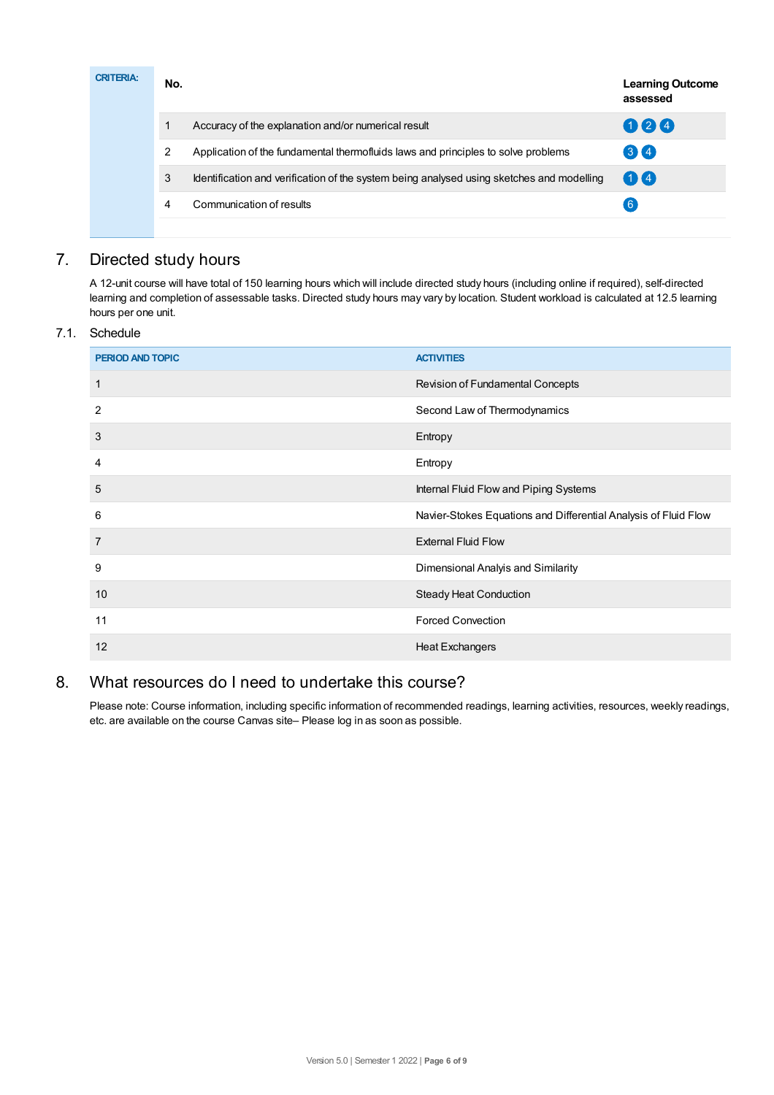| <b>CRITERIA:</b> | No. |                                                                                           | <b>Learning Outcome</b><br>assessed |
|------------------|-----|-------------------------------------------------------------------------------------------|-------------------------------------|
|                  |     | Accuracy of the explanation and/or numerical result                                       | 024                                 |
|                  | 2   | Application of the fundamental thermofluids laws and principles to solve problems         | 34                                  |
|                  | 3   | Identification and verification of the system being analysed using sketches and modelling | 00                                  |
|                  | 4   | Communication of results                                                                  | $\binom{6}{ }$                      |
|                  |     |                                                                                           |                                     |

# 7. Directed study hours

A 12-unit course will have total of 150 learning hours which will include directed study hours (including online if required), self-directed learning and completion of assessable tasks. Directed study hours may vary by location. Student workload is calculated at 12.5 learning hours per one unit.

## 7.1. Schedule

| <b>PERIOD AND TOPIC</b> | <b>ACTIVITIES</b>                                               |
|-------------------------|-----------------------------------------------------------------|
| 1                       | Revision of Fundamental Concepts                                |
| $\overline{2}$          | Second Law of Thermodynamics                                    |
| 3                       | Entropy                                                         |
| 4                       | Entropy                                                         |
| 5                       | Internal Fluid Flow and Piping Systems                          |
| 6                       | Navier-Stokes Equations and Differential Analysis of Fluid Flow |
| $\overline{7}$          | <b>External Fluid Flow</b>                                      |
| 9                       | Dimensional Analyis and Similarity                              |
| 10                      | <b>Steady Heat Conduction</b>                                   |
| 11                      | <b>Forced Convection</b>                                        |
| 12                      | <b>Heat Exchangers</b>                                          |

# 8. What resources do I need to undertake this course?

Please note: Course information, including specific information of recommended readings, learning activities, resources, weekly readings, etc. are available on the course Canvas site– Please log in as soon as possible.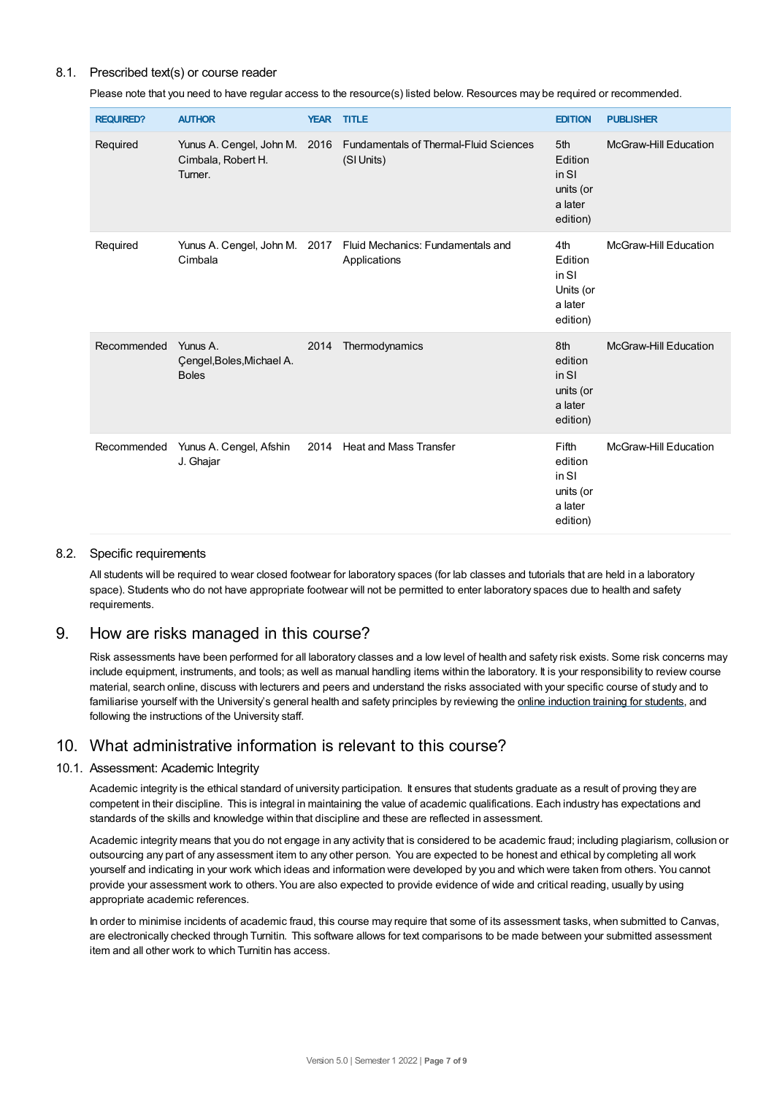## 8.1. Prescribed text(s) or course reader

Please note that you need to have regular access to the resource(s) listed below. Resources may be required or recommended.

| <b>REQUIRED?</b> | <b>AUTHOR</b>                                         |      | <b>YEAR TITLE</b>                                                                  | <b>EDITION</b>                                                | <b>PUBLISHER</b>             |
|------------------|-------------------------------------------------------|------|------------------------------------------------------------------------------------|---------------------------------------------------------------|------------------------------|
| Required         | Cimbala, Robert H.<br>Turner.                         |      | Yunus A. Cengel, John M. 2016 Fundamentals of Thermal-Fluid Sciences<br>(SI Units) | 5th<br>Edition<br>in SI<br>units (or<br>a later<br>edition)   | <b>McGraw-Hill Education</b> |
| Required         | Cimbala                                               |      | Yunus A. Cengel, John M. 2017 Fluid Mechanics: Fundamentals and<br>Applications    | 4th<br>Edition<br>in SI<br>Units (or<br>a later<br>edition)   | <b>McGraw-Hill Education</b> |
| Recommended      | Yunus A.<br>Çengel, Boles, Michael A.<br><b>Boles</b> | 2014 | Thermodynamics                                                                     | 8th<br>edition<br>in SI<br>units (or<br>a later<br>edition)   | <b>McGraw-Hill Education</b> |
| Recommended      | Yunus A. Cengel, Afshin<br>J. Ghajar                  |      | 2014 Heat and Mass Transfer                                                        | Fifth<br>edition<br>in SI<br>units (or<br>a later<br>edition) | McGraw-Hill Education        |

#### 8.2. Specific requirements

All students will be required to wear closed footwear for laboratory spaces (for lab classes and tutorials that are held in a laboratory space). Students who do not have appropriate footwear will not be permitted to enter laboratory spaces due to health and safety requirements.

## 9. How are risks managed in this course?

Risk assessments have been performed for all laboratory classes and a low level of health and safety risk exists. Some risk concerns may include equipment, instruments, and tools; as well as manual handling items within the laboratory. It is your responsibility to review course material, search online, discuss with lecturers and peers and understand the risks associated with your specific course of study and to familiarise yourself with the University's general health and safety principles by reviewing the online [induction](https://online.usc.edu.au/webapps/blackboard/content/listContentEditable.jsp?content_id=_632657_1&course_id=_14432_1) training for students, and following the instructions of the University staff.

# 10. What administrative information is relevant to this course?

#### 10.1. Assessment: Academic Integrity

Academic integrity is the ethical standard of university participation. It ensures that students graduate as a result of proving they are competent in their discipline. This is integral in maintaining the value of academic qualifications. Each industry has expectations and standards of the skills and knowledge within that discipline and these are reflected in assessment.

Academic integrity means that you do not engage in any activity that is considered to be academic fraud; including plagiarism, collusion or outsourcing any part of any assessment item to any other person. You are expected to be honest and ethical by completing all work yourself and indicating in your work which ideas and information were developed by you and which were taken from others. You cannot provide your assessment work to others.You are also expected to provide evidence of wide and critical reading, usually by using appropriate academic references.

In order to minimise incidents of academic fraud, this course may require that some of its assessment tasks, when submitted to Canvas, are electronically checked through Turnitin. This software allows for text comparisons to be made between your submitted assessment item and all other work to which Turnitin has access.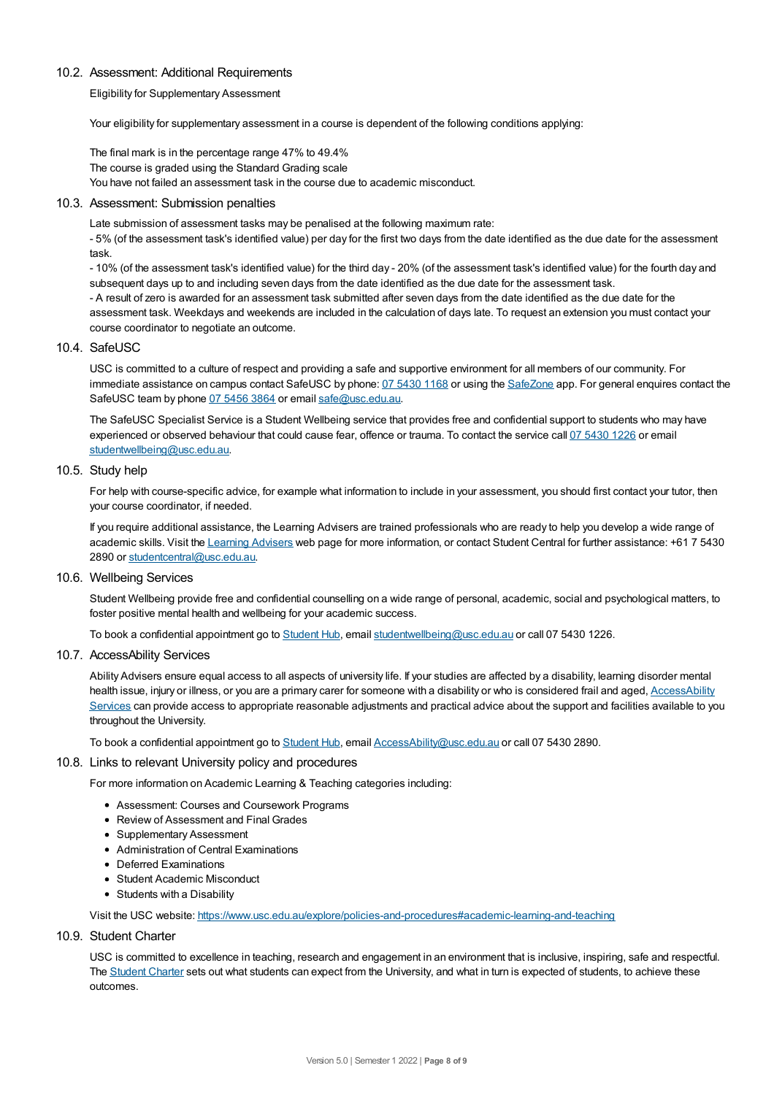### 10.2. Assessment: Additional Requirements

Eligibility for Supplementary Assessment

Your eligibility for supplementary assessment in a course is dependent of the following conditions applying:

The final mark is in the percentage range 47% to 49.4% The course is graded using the Standard Grading scale You have not failed an assessment task in the course due to academic misconduct.

#### 10.3. Assessment: Submission penalties

Late submission of assessment tasks may be penalised at the following maximum rate:

- 5% (of the assessment task's identified value) per day for the first two days from the date identified as the due date for the assessment task.

- 10% (of the assessment task's identified value) for the third day - 20% (of the assessment task's identified value) for the fourth day and subsequent days up to and including seven days from the date identified as the due date for the assessment task.

- A result of zero is awarded for an assessment task submitted after seven days from the date identified as the due date for the assessment task. Weekdays and weekends are included in the calculation of days late. To request an extension you must contact your course coordinator to negotiate an outcome.

### 10.4. SafeUSC

USC is committed to a culture of respect and providing a safe and supportive environment for all members of our community. For immediate assistance on campus contact SafeUSC by phone: 07 [5430](tel:07%205430%201168) 1168 or using the [SafeZone](https://www.safezoneapp.com) app. For general enquires contact the SafeUSC team by phone 07 [5456](tel:07%205456%203864) 3864 or email [safe@usc.edu.au](mailto:safe@usc.edu.au).

The SafeUSC Specialist Service is a Student Wellbeing service that provides free and confidential support to students who may have experienced or observed behaviour that could cause fear, offence or trauma. To contact the service call 07 [5430](tel:07%205430%201226) 1226 or email [studentwellbeing@usc.edu.au](mailto:studentwellbeing@usc.edu.au).

#### 10.5. Study help

For help with course-specific advice, for example what information to include in your assessment, you should first contact your tutor, then your course coordinator, if needed.

If you require additional assistance, the Learning Advisers are trained professionals who are ready to help you develop a wide range of academic skills. Visit the Learning [Advisers](https://www.usc.edu.au/current-students/student-support/academic-and-study-support/learning-advisers) web page for more information, or contact Student Central for further assistance: +61 7 5430 2890 or [studentcentral@usc.edu.au](mailto:studentcentral@usc.edu.au).

## 10.6. Wellbeing Services

Student Wellbeing provide free and confidential counselling on a wide range of personal, academic, social and psychological matters, to foster positive mental health and wellbeing for your academic success.

To book a confidential appointment go to [Student](https://studenthub.usc.edu.au/) Hub, email [studentwellbeing@usc.edu.au](mailto:studentwellbeing@usc.edu.au) or call 07 5430 1226.

#### 10.7. AccessAbility Services

Ability Advisers ensure equal access to all aspects of university life. If your studies are affected by a disability, learning disorder mental health issue, injury or illness, or you are a primary carer for someone with a disability or who is considered frail and aged, [AccessAbility](https://www.usc.edu.au/learn/student-support/accessability-services/documentation-requirements) Services can provide access to appropriate reasonable adjustments and practical advice about the support and facilities available to you throughout the University.

To book a confidential appointment go to [Student](https://studenthub.usc.edu.au/) Hub, email [AccessAbility@usc.edu.au](mailto:AccessAbility@usc.edu.au) or call 07 5430 2890.

#### 10.8. Links to relevant University policy and procedures

For more information on Academic Learning & Teaching categories including:

- Assessment: Courses and Coursework Programs
- Review of Assessment and Final Grades
- Supplementary Assessment
- Administration of Central Examinations
- Deferred Examinations
- Student Academic Misconduct
- Students with a Disability

Visit the USC website: <https://www.usc.edu.au/explore/policies-and-procedures#academic-learning-and-teaching>

10.9. Student Charter

USC is committed to excellence in teaching, research and engagement in an environment that is inclusive, inspiring, safe and respectful. The [Student](https://www.usc.edu.au/current-students/student-charter) Charter sets out what students can expect from the University, and what in turn is expected of students, to achieve these outcomes.